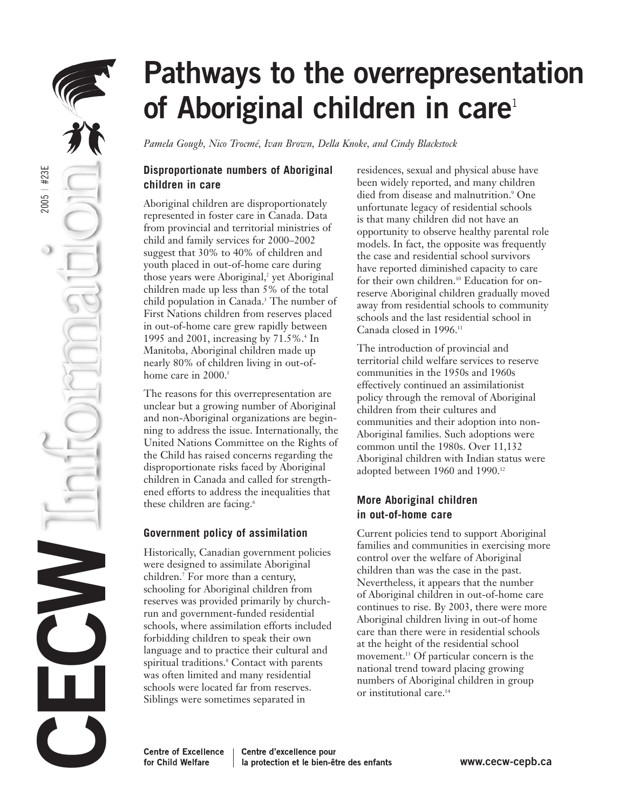

# **Pathways to the overrepresentation** of Aboriginal children in care<sup>1</sup>

*Pamela Gough, Nico Trocmé, Ivan Brown, Della Knoke, and Cindy Blackstock*

## **Disproportionate numbers of Aboriginal children in care**

Aboriginal children are disproportionately represented in foster care in Canada. Data from provincial and territorial ministries of child and family services for 2000–2002 suggest that 30% to 40% of children and youth placed in out-of-home care during those years were Aboriginal,<sup>2</sup> yet Aboriginal children made up less than 5% of the total child population in Canada.<sup>3</sup> The number of First Nations children from reserves placed in out-of-home care grew rapidly between 1995 and 2001, increasing by 71.5%.4 In Manitoba, Aboriginal children made up nearly 80% of children living in out-ofhome care in 2000.<sup>5</sup>

The reasons for this overrepresentation are unclear but a growing number of Aboriginal and non-Aboriginal organizations are beginning to address the issue. Internationally, the United Nations Committee on the Rights of the Child has raised concerns regarding the disproportionate risks faced by Aboriginal children in Canada and called for strengthened efforts to address the inequalities that these children are facing.<sup>6</sup>

### **Government policy of assimilation**

Historically, Canadian government policies were designed to assimilate Aboriginal children.7 For more than a century, schooling for Aboriginal children from reserves was provided primarily by churchrun and government-funded residential schools, where assimilation efforts included forbidding children to speak their own language and to practice their cultural and spiritual traditions.<sup>8</sup> Contact with parents was often limited and many residential schools were located far from reserves. Siblings were sometimes separated in

residences, sexual and physical abuse have been widely reported, and many children died from disease and malnutrition.<sup>9</sup> One unfortunate legacy of residential schools is that many children did not have an opportunity to observe healthy parental role models. In fact, the opposite was frequently the case and residential school survivors have reported diminished capacity to care for their own children.10 Education for onreserve Aboriginal children gradually moved away from residential schools to community schools and the last residential school in Canada closed in 1996.11

The introduction of provincial and territorial child welfare services to reserve communities in the 1950s and 1960s effectively continued an assimilationist policy through the removal of Aboriginal children from their cultures and communities and their adoption into non-Aboriginal families. Such adoptions were common until the 1980s. Over 11,132 Aboriginal children with Indian status were adopted between 1960 and 1990.<sup>12</sup>

# **More Aboriginal children in out-of-home care**

Current policies tend to support Aboriginal families and communities in exercising more control over the welfare of Aboriginal children than was the case in the past. Nevertheless, it appears that the number of Aboriginal children in out-of-home care continues to rise. By 2003, there were more Aboriginal children living in out-of home care than there were in residential schools at the height of the residential school movement.<sup>13</sup> Of particular concern is the national trend toward placing growing numbers of Aboriginal children in group or institutional care.<sup>14</sup>

**Centre of Excellence** Centre d'excellence pour for Child Welfare la protection et le bien-être des enfants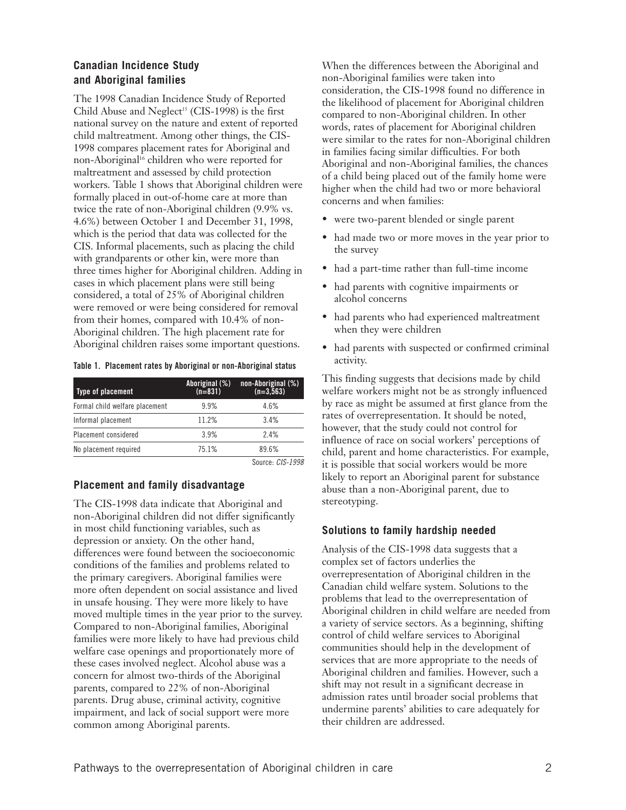#### **Canadian Incidence Study and Aboriginal families**

The 1998 Canadian Incidence Study of Reported Child Abuse and Neglect<sup>15</sup> (CIS-1998) is the first national survey on the nature and extent of reported child maltreatment. Among other things, the CIS-1998 compares placement rates for Aboriginal and non-Aboriginal<sup>16</sup> children who were reported for maltreatment and assessed by child protection workers. Table 1 shows that Aboriginal children were formally placed in out-of-home care at more than twice the rate of non-Aboriginal children (9.9% vs. 4.6%) between October 1 and December 31, 1998, which is the period that data was collected for the CIS. Informal placements, such as placing the child with grandparents or other kin, were more than three times higher for Aboriginal children. Adding in cases in which placement plans were still being considered, a total of 25% of Aboriginal children were removed or were being considered for removal from their homes, compared with 10.4% of non-Aboriginal children. The high placement rate for Aboriginal children raises some important questions.

| Table 1. Placement rates by Aboriginal or non-Aboriginal status |  |  |
|-----------------------------------------------------------------|--|--|
|                                                                 |  |  |

| Type of placement              | Aboriginal (%)<br>$(n=831)$ | non-Aboriginal (%)<br>$(n=3,563)$ |
|--------------------------------|-----------------------------|-----------------------------------|
| Formal child welfare placement | 9.9%                        | 4.6%                              |
| Informal placement             | 11.2%                       | 34%                               |
| Placement considered           | 3.9%                        | 24%                               |
| No placement required          | 751%                        | 89.6%                             |

Source: CIS-1998

#### **Placement and family disadvantage**

The CIS-1998 data indicate that Aboriginal and non-Aboriginal children did not differ significantly in most child functioning variables, such as depression or anxiety. On the other hand, differences were found between the socioeconomic conditions of the families and problems related to the primary caregivers. Aboriginal families were more often dependent on social assistance and lived in unsafe housing. They were more likely to have moved multiple times in the year prior to the survey. Compared to non-Aboriginal families, Aboriginal families were more likely to have had previous child welfare case openings and proportionately more of these cases involved neglect. Alcohol abuse was a concern for almost two-thirds of the Aboriginal parents, compared to 22% of non-Aboriginal parents. Drug abuse, criminal activity, cognitive impairment, and lack of social support were more common among Aboriginal parents.

When the differences between the Aboriginal and non-Aboriginal families were taken into consideration, the CIS-1998 found no difference in the likelihood of placement for Aboriginal children compared to non-Aboriginal children. In other words, rates of placement for Aboriginal children were similar to the rates for non-Aboriginal children in families facing similar difficulties. For both Aboriginal and non-Aboriginal families, the chances of a child being placed out of the family home were higher when the child had two or more behavioral concerns and when families:

- were two-parent blended or single parent
- had made two or more moves in the year prior to the survey
- had a part-time rather than full-time income
- had parents with cognitive impairments or alcohol concerns
- had parents who had experienced maltreatment when they were children
- had parents with suspected or confirmed criminal activity.

This finding suggests that decisions made by child welfare workers might not be as strongly influenced by race as might be assumed at first glance from the rates of overrepresentation. It should be noted, however, that the study could not control for influence of race on social workers' perceptions of child, parent and home characteristics. For example, it is possible that social workers would be more likely to report an Aboriginal parent for substance abuse than a non-Aboriginal parent, due to stereotyping.

#### **Solutions to family hardship needed**

Analysis of the CIS-1998 data suggests that a complex set of factors underlies the overrepresentation of Aboriginal children in the Canadian child welfare system. Solutions to the problems that lead to the overrepresentation of Aboriginal children in child welfare are needed from a variety of service sectors. As a beginning, shifting control of child welfare services to Aboriginal communities should help in the development of services that are more appropriate to the needs of Aboriginal children and families. However, such a shift may not result in a significant decrease in admission rates until broader social problems that undermine parents' abilities to care adequately for their children are addressed.